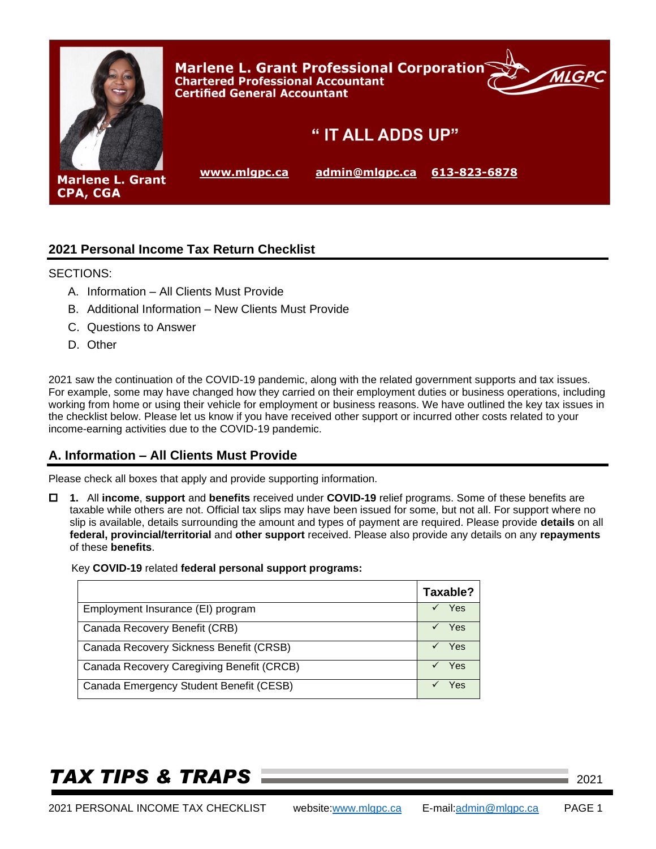

## **2021 Personal Income Tax Return Checklist**

### SECTIONS:

- A. Information All Clients Must Provide
- B. Additional Information New Clients Must Provide
- C. Questions to Answer
- D. Other

2021 saw the continuation of the COVID-19 pandemic, along with the related government supports and tax issues. For example, some may have changed how they carried on their employment duties or business operations, including working from home or using their vehicle for employment or business reasons. We have outlined the key tax issues in the checklist below. Please let us know if you have received other support or incurred other costs related to your income-earning activities due to the COVID-19 pandemic.

## **A. Information – All Clients Must Provide**

Please check all boxes that apply and provide supporting information.

 **1.** All **income**, **support** and **benefits** received under **COVID-19** relief programs. Some of these benefits are taxable while others are not. Official tax slips may have been issued for some, but not all. For support where no slip is available, details surrounding the amount and types of payment are required. Please provide **details** on all **federal, provincial/territorial** and **other support** received. Please also provide any details on any **repayments** of these **benefits**.

### Key **COVID-19** related **federal personal support programs:**

|                                           | Taxable? |
|-------------------------------------------|----------|
| Employment Insurance (EI) program         | Yes      |
| Canada Recovery Benefit (CRB)             | Yes      |
| Canada Recovery Sickness Benefit (CRSB)   | Yes      |
| Canada Recovery Caregiving Benefit (CRCB) | Yes      |
| Canada Emergency Student Benefit (CESB)   | Yes      |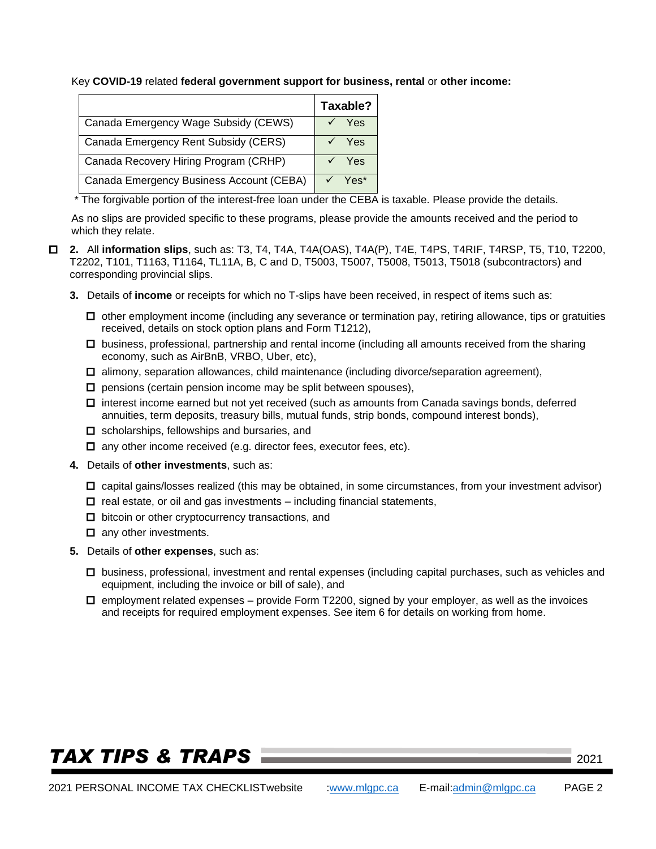Key **COVID-19** related **federal government support for business, rental** or **other income:**

|                                          | Taxable? |  |
|------------------------------------------|----------|--|
| Canada Emergency Wage Subsidy (CEWS)     | Yes      |  |
| Canada Emergency Rent Subsidy (CERS)     | Yes      |  |
| Canada Recovery Hiring Program (CRHP)    | Yes      |  |
| Canada Emergency Business Account (CEBA) | Yes*     |  |

\* The forgivable portion of the interest-free loan under the CEBA is taxable. Please provide the details.

As no slips are provided specific to these programs, please provide the amounts received and the period to which they relate.

- **2.** All **information slips**, such as: T3, T4, T4A, T4A(OAS), T4A(P), T4E, T4PS, T4RIF, T4RSP, T5, T10, T2200, T2202, T101, T1163, T1164, TL11A, B, C and D, T5003, T5007, T5008, T5013, T5018 (subcontractors) and corresponding provincial slips.
	- **3.** Details of **income** or receipts for which no T-slips have been received, in respect of items such as:
		- $\Box$  other employment income (including any severance or termination pay, retiring allowance, tips or gratuities received, details on stock option plans and Form T1212),
		- $\Box$  business, professional, partnership and rental income (including all amounts received from the sharing economy, such as AirBnB, VRBO, Uber, etc),
		- $\Box$  alimony, separation allowances, child maintenance (including divorce/separation agreement),
		- $\square$  pensions (certain pension income may be split between spouses),
		- $\Box$  interest income earned but not yet received (such as amounts from Canada savings bonds, deferred annuities, term deposits, treasury bills, mutual funds, strip bonds, compound interest bonds),
		- $\square$  scholarships, fellowships and bursaries, and
		- $\Box$  any other income received (e.g. director fees, executor fees, etc).
	- **4.** Details of **other investments**, such as:
		- $\Box$  capital gains/losses realized (this may be obtained, in some circumstances, from your investment advisor)
		- $\Box$  real estate, or oil and gas investments including financial statements,
		- $\Box$  bitcoin or other cryptocurrency transactions, and
		- $\Box$  any other investments.
	- **5.** Details of **other expenses**, such as:
		- business, professional, investment and rental expenses (including capital purchases, such as vehicles and equipment, including the invoice or bill of sale), and
		- $\Box$  employment related expenses provide Form T2200, signed by your employer, as well as the invoices and receipts for required employment expenses. See item 6 for details on working from home.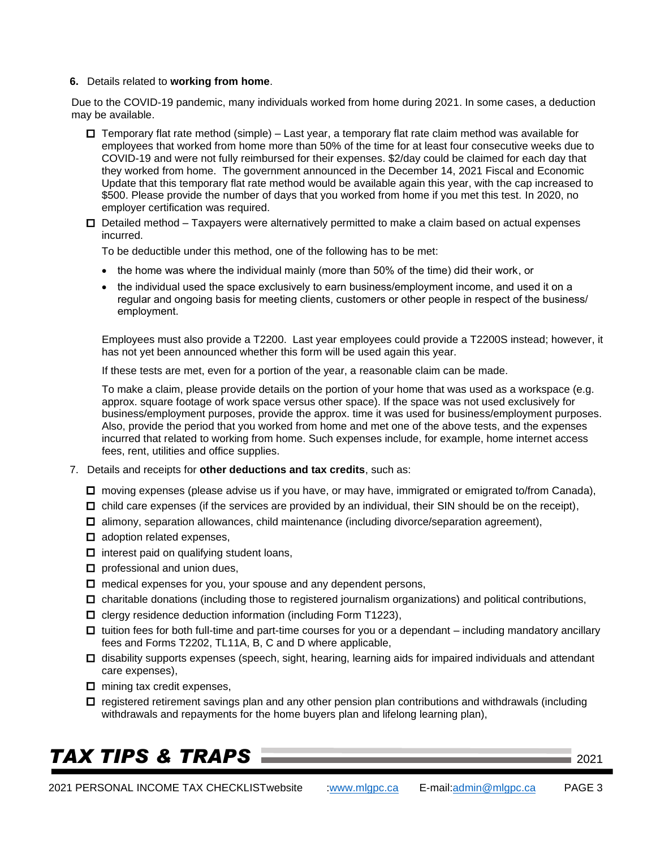#### **6.** Details related to **working from home**.

Due to the COVID-19 pandemic, many individuals worked from home during 2021. In some cases, a deduction may be available.

- $\Box$  Temporary flat rate method (simple) Last year, a temporary flat rate claim method was available for employees that worked from home more than 50% of the time for at least four consecutive weeks due to COVID-19 and were not fully reimbursed for their expenses. \$2/day could be claimed for each day that they worked from home. The government announced in the December 14, 2021 Fiscal and Economic Update that this temporary flat rate method would be available again this year, with the cap increased to \$500. Please provide the number of days that you worked from home if you met this test. In 2020, no employer certification was required.
- $\Box$  Detailed method Taxpayers were alternatively permitted to make a claim based on actual expenses incurred.

To be deductible under this method, one of the following has to be met:

- the home was where the individual mainly (more than 50% of the time) did their work, or
- the individual used the space exclusively to earn business/employment income, and used it on a regular and ongoing basis for meeting clients, customers or other people in respect of the business/ employment.

Employees must also provide a T2200. Last year employees could provide a T2200S instead; however, it has not yet been announced whether this form will be used again this year.

If these tests are met, even for a portion of the year, a reasonable claim can be made.

To make a claim, please provide details on the portion of your home that was used as a workspace (e.g. approx. square footage of work space versus other space). If the space was not used exclusively for business/employment purposes, provide the approx. time it was used for business/employment purposes. Also, provide the period that you worked from home and met one of the above tests, and the expenses incurred that related to working from home. Such expenses include, for example, home internet access fees, rent, utilities and office supplies.

- 7. Details and receipts for **other deductions and tax credits**, such as:
	- □ moving expenses (please advise us if you have, or may have, immigrated or emigrated to/from Canada),
	- $\Box$  child care expenses (if the services are provided by an individual, their SIN should be on the receipt),
	- $\Box$  alimony, separation allowances, child maintenance (including divorce/separation agreement),
	- $\Box$  adoption related expenses,
	- $\Box$  interest paid on qualifying student loans,
	- $\square$  professional and union dues,
	- $\square$  medical expenses for you, your spouse and any dependent persons,
	- $\Box$  charitable donations (including those to registered journalism organizations) and political contributions,
	- $\Box$  clergy residence deduction information (including Form T1223),
	- $\Box$  tuition fees for both full-time and part-time courses for you or a dependant including mandatory ancillary fees and Forms T2202, TL11A, B, C and D where applicable,
	- $\Box$  disability supports expenses (speech, sight, hearing, learning aids for impaired individuals and attendant care expenses),
	- $\Box$  mining tax credit expenses,
	- $\Box$  registered retirement savings plan and any other pension plan contributions and withdrawals (including withdrawals and repayments for the home buyers plan and lifelong learning plan),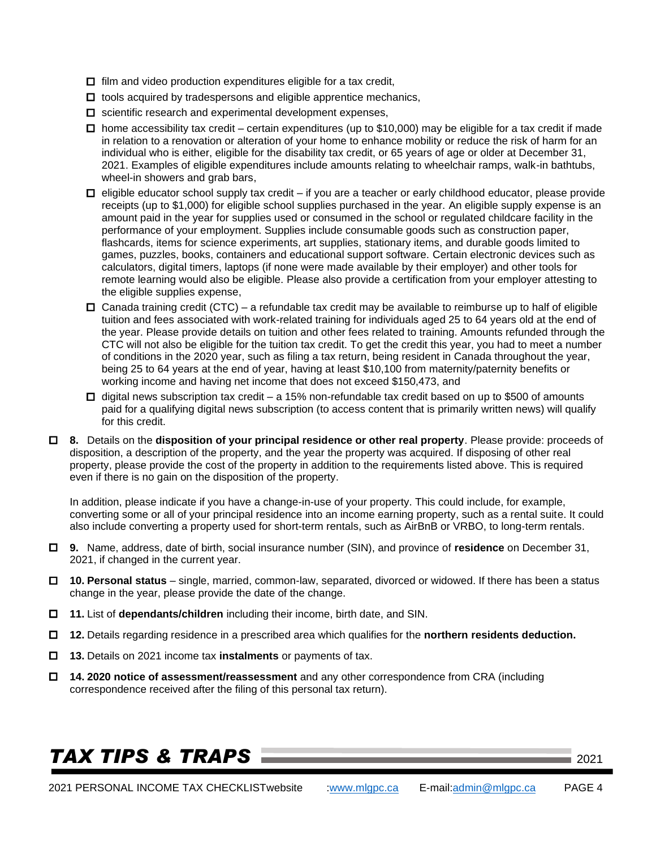- $\Box$  film and video production expenditures eligible for a tax credit,
- $\Box$  tools acquired by tradespersons and eligible apprentice mechanics,
- $\square$  scientific research and experimental development expenses,
- $\Box$  home accessibility tax credit certain expenditures (up to \$10,000) may be eligible for a tax credit if made in relation to a renovation or alteration of your home to enhance mobility or reduce the risk of harm for an individual who is either, eligible for the disability tax credit, or 65 years of age or older at December 31, 2021. Examples of eligible expenditures include amounts relating to wheelchair ramps, walk-in bathtubs, wheel-in showers and grab bars,
- $\Box$  eligible educator school supply tax credit if you are a teacher or early childhood educator, please provide receipts (up to \$1,000) for eligible school supplies purchased in the year. An eligible supply expense is an amount paid in the year for supplies used or consumed in the school or regulated childcare facility in the performance of your employment. Supplies include consumable goods such as construction paper, flashcards, items for science experiments, art supplies, stationary items, and durable goods limited to games, puzzles, books, containers and educational support software. Certain electronic devices such as calculators, digital timers, laptops (if none were made available by their employer) and other tools for remote learning would also be eligible. Please also provide a certification from your employer attesting to the eligible supplies expense,
- $\Box$  Canada training credit (CTC) a refundable tax credit may be available to reimburse up to half of eligible tuition and fees associated with work-related training for individuals aged 25 to 64 years old at the end of the year. Please provide details on tuition and other fees related to training. Amounts refunded through the CTC will not also be eligible for the tuition tax credit. To get the credit this year, you had to meet a number of conditions in the 2020 year, such as filing a tax return, being resident in Canada throughout the year, being 25 to 64 years at the end of year, having at least \$10,100 from maternity/paternity benefits or working income and having net income that does not exceed \$150,473, and
- $\Box$  digital news subscription tax credit a 15% non-refundable tax credit based on up to \$500 of amounts paid for a qualifying digital news subscription (to access content that is primarily written news) will qualify for this credit.
- **8.** Details on the **disposition of your principal residence or other real property**. Please provide: proceeds of disposition, a description of the property, and the year the property was acquired. If disposing of other real property, please provide the cost of the property in addition to the requirements listed above. This is required even if there is no gain on the disposition of the property.

In addition, please indicate if you have a change-in-use of your property. This could include, for example, converting some or all of your principal residence into an income earning property, such as a rental suite. It could also include converting a property used for short-term rentals, such as AirBnB or VRBO, to long-term rentals.

- **9.** Name, address, date of birth, social insurance number (SIN), and province of **residence** on December 31, 2021, if changed in the current year.
- **10. Personal status**  single, married, common-law, separated, divorced or widowed. If there has been a status change in the year, please provide the date of the change.
- **11.** List of **dependants/children** including their income, birth date, and SIN.
- **12.** Details regarding residence in a prescribed area which qualifies for the **northern residents deduction.**
- **13.** Details on 2021 income tax **instalments** or payments of tax.
- **14. 2020 notice of assessment/reassessment** and any other correspondence from CRA (including correspondence received after the filing of this personal tax return).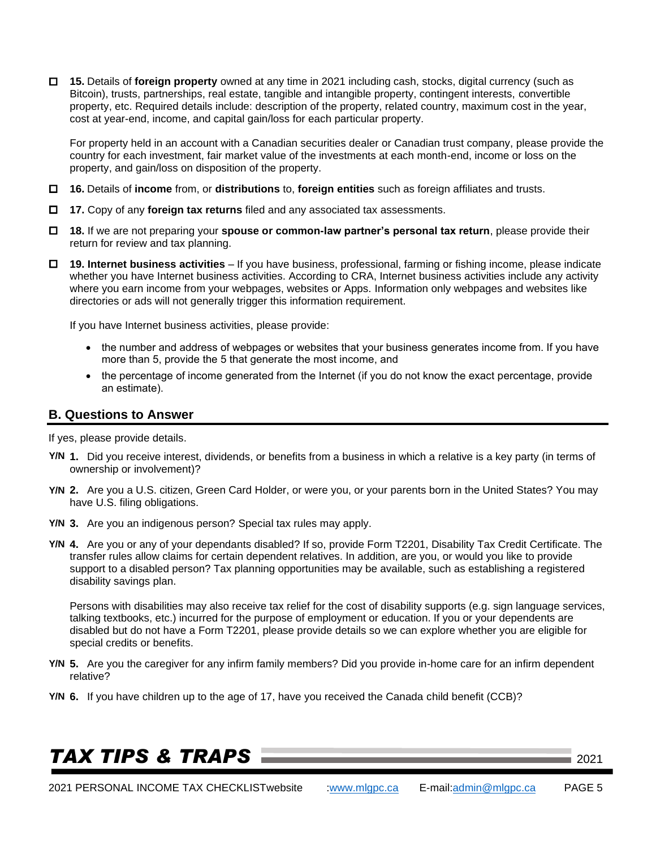**15.** Details of **foreign property** owned at any time in 2021 including cash, stocks, digital currency (such as Bitcoin), trusts, partnerships, real estate, tangible and intangible property, contingent interests, convertible property, etc. Required details include: description of the property, related country, maximum cost in the year, cost at year-end, income, and capital gain/loss for each particular property.

For property held in an account with a Canadian securities dealer or Canadian trust company, please provide the country for each investment, fair market value of the investments at each month-end, income or loss on the property, and gain/loss on disposition of the property.

- **16.** Details of **income** from, or **distributions** to, **foreign entities** such as foreign affiliates and trusts.
- **17.** Copy of any **foreign tax returns** filed and any associated tax assessments.
- **18.** If we are not preparing your **spouse or common-law partner's personal tax return**, please provide their return for review and tax planning.
- **19. Internet business activities** If you have business, professional, farming or fishing income, please indicate whether you have Internet business activities. According to CRA, Internet business activities include any activity where you earn income from your webpages, websites or Apps. Information only webpages and websites like directories or ads will not generally trigger this information requirement.

If you have Internet business activities, please provide:

- the number and address of webpages or websites that your business generates income from. If you have more than 5, provide the 5 that generate the most income, and
- the percentage of income generated from the Internet (if you do not know the exact percentage, provide an estimate).

### **B. Questions to Answer**

If yes, please provide details.

- **1.** Did you receive interest, dividends, or benefits from a business in which a relative is a key party (in terms of **Y/N** ownership or involvement)?
- **2.** Are you a U.S. citizen, Green Card Holder, or were you, or your parents born in the United States? You may **Y/N** have U.S. filing obligations.
- **3.** Are you an indigenous person? Special tax rules may apply. **Y/N**
- **4.** Are you or any of your dependants disabled? If so, provide Form T2201, Disability Tax Credit Certificate. The **Y/N** transfer rules allow claims for certain dependent relatives. In addition, are you, or would you like to provide support to a disabled person? Tax planning opportunities may be available, such as establishing a registered disability savings plan.

Persons with disabilities may also receive tax relief for the cost of disability supports (e.g. sign language services, talking textbooks, etc.) incurred for the purpose of employment or education. If you or your dependents are disabled but do not have a Form T2201, please provide details so we can explore whether you are eligible for special credits or benefits.

- **5.** Are you the caregiver for any infirm family members? Did you provide in-home care for an infirm dependent **Y/N** relative?
- **6.** If you have children up to the age of 17, have you received the Canada child benefit (CCB)? **Y/N**